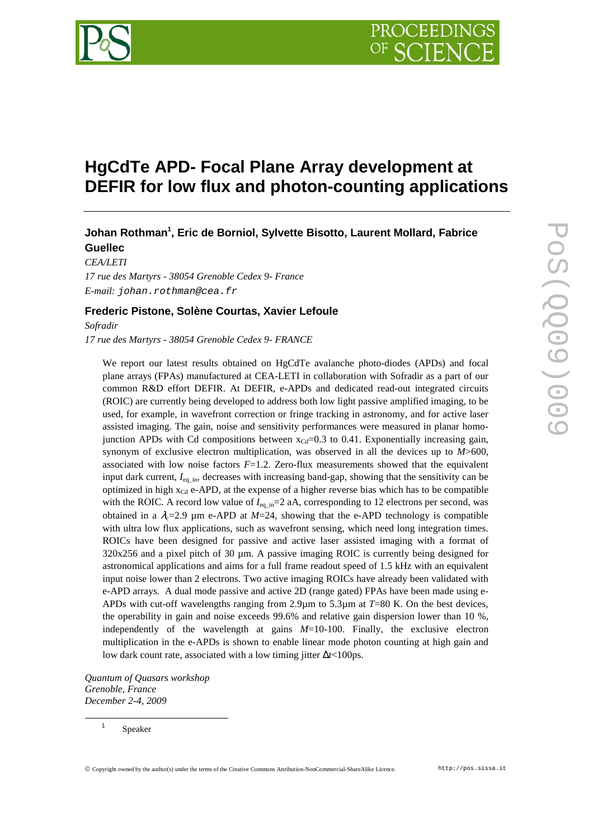# **HgCdTe APD- Focal Plane Array development at DEFIR for low flux and photon-counting applications**

## **Johan Rothman<sup>1</sup> , Eric de Borniol, Sylvette Bisotto, Laurent Mollard, Fabrice Guellec**

*CEA/LETI 17 rue des Martyrs - 38054 Grenoble Cedex 9- France E-mail:* johan.rothman@cea.fr

### **Frederic Pistone, Solène Courtas, Xavier Lefoule**

*Sofradir 17 rue des Martyrs - 38054 Grenoble Cedex 9- FRANCE*

We report our latest results obtained on HgCdTe avalanche photo-diodes (APDs) and focal plane arrays (FPAs) manufactured at CEA-LETI in collaboration with Sofradir as a part of our common R&D effort DEFIR. At DEFIR, e-APDs and dedicated read-out integrated circuits (ROIC) are currently being developed to address both low light passive amplified imaging, to be used, for example, in wavefront correction or fringe tracking in astronomy, and for active laser assisted imaging. The gain, noise and sensitivity performances were measured in planar homojunction APDs with Cd compositions between  $x_{\text{Cd}}=0.3$  to 0.41. Exponentially increasing gain, synonym of exclusive electron multiplication, was observed in all the devices up to *M*>600, associated with low noise factors *F*=1.2. Zero-flux measurements showed that the equivalent input dark current,  $I_{eq\_in}$ , decreases with increasing band-gap, showing that the sensitivity can be optimized in high  $x_{Cd}$  e-APD, at the expense of a higher reverse bias which has to be compatible with the ROIC. A record low value of  $I_{eq\ m}$ =2 aA, corresponding to 12 electrons per second, was obtained in a  $\lambda_c$ =2.9  $\mu$ m e-APD at *M*=24, showing that the e-APD technology is compatible with ultra low flux applications, such as wavefront sensing, which need long integration times. ROICs have been designed for passive and active laser assisted imaging with a format of 320x256 and a pixel pitch of 30 µm. A passive imaging ROIC is currently being designed for astronomical applications and aims for a full frame readout speed of 1.5 kHz with an equivalent input noise lower than 2 electrons. Two active imaging ROICs have already been validated with e-APD arrays. A dual mode passive and active 2D (range gated) FPAs have been made using e-APDs with cut-off wavelengths ranging from 2.9µm to 5.3µm at *T*=80 K. On the best devices, the operability in gain and noise exceeds 99.6% and relative gain dispersion lower than 10 %, independently of the wavelength at gains *M*=10-100. Finally, the exclusive electron multiplication in the e-APDs is shown to enable linear mode photon counting at high gain and low dark count rate, associated with a low timing jitter ∆*t*<100ps.

*Quantum of Quasars workshop Grenoble, France December 2-4, 2009*

> 1 Speaker

 $\overline{a}$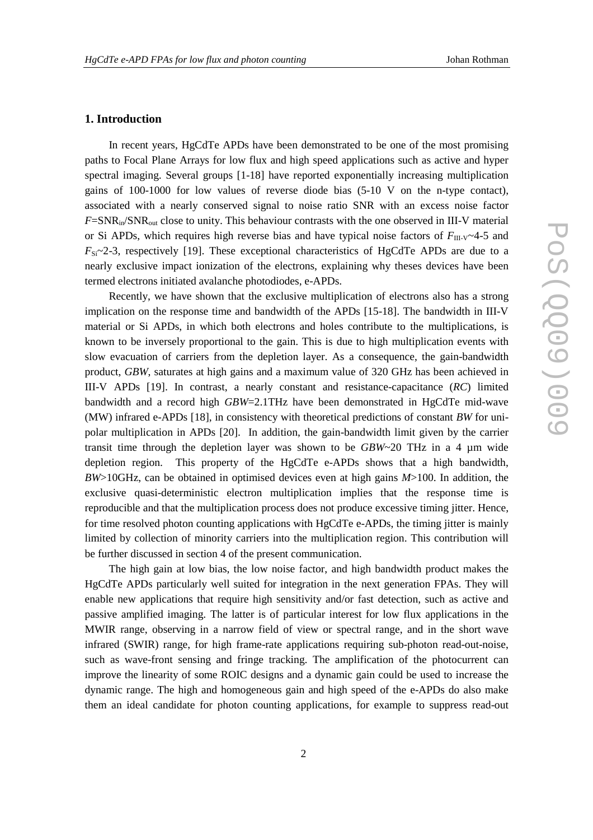#### **1. Introduction**

In recent years, HgCdTe APDs have been demonstrated to be one of the most promising paths to Focal Plane Arrays for low flux and high speed applications such as active and hyper spectral imaging. Several groups [1-18] have reported exponentially increasing multiplication gains of 100-1000 for low values of reverse diode bias (5-10 V on the n-type contact), associated with a nearly conserved signal to noise ratio SNR with an excess noise factor  $F = SNR_{in}/SNR_{out}$  close to unity. This behaviour contrasts with the one observed in III-V material or Si APDs, which requires high reverse bias and have typical noise factors of  $F_{\text{III-V}}$  4-5 and  $F_{Si}$  -2-3, respectively [19]. These exceptional characteristics of HgCdTe APDs are due to a nearly exclusive impact ionization of the electrons, explaining why theses devices have been termed electrons initiated avalanche photodiodes, e-APDs.

Recently, we have shown that the exclusive multiplication of electrons also has a strong implication on the response time and bandwidth of the APDs [15-18]. The bandwidth in III-V material or Si APDs, in which both electrons and holes contribute to the multiplications, is known to be inversely proportional to the gain. This is due to high multiplication events with slow evacuation of carriers from the depletion layer. As a consequence, the gain-bandwidth product, *GBW*, saturates at high gains and a maximum value of 320 GHz has been achieved in III-V APDs [19]. In contrast, a nearly constant and resistance-capacitance (*RC*) limited bandwidth and a record high *GBW*=2.1THz have been demonstrated in HgCdTe mid-wave (MW) infrared e-APDs [18], in consistency with theoretical predictions of constant *BW* for unipolar multiplication in APDs [20]. In addition, the gain-bandwidth limit given by the carrier transit time through the depletion layer was shown to be *GBW*~20 THz in a 4 µm wide depletion region. This property of the HgCdTe e-APDs shows that a high bandwidth, *BW*>10GHz, can be obtained in optimised devices even at high gains *M*>100. In addition, the exclusive quasi-deterministic electron multiplication implies that the response time is reproducible and that the multiplication process does not produce excessive timing jitter. Hence, for time resolved photon counting applications with HgCdTe e-APDs, the timing jitter is mainly limited by collection of minority carriers into the multiplication region. This contribution will be further discussed in section 4 of the present communication.

The high gain at low bias, the low noise factor, and high bandwidth product makes the HgCdTe APDs particularly well suited for integration in the next generation FPAs. They will enable new applications that require high sensitivity and/or fast detection, such as active and passive amplified imaging. The latter is of particular interest for low flux applications in the MWIR range, observing in a narrow field of view or spectral range, and in the short wave infrared (SWIR) range, for high frame-rate applications requiring sub-photon read-out-noise, such as wave-front sensing and fringe tracking. The amplification of the photocurrent can improve the linearity of some ROIC designs and a dynamic gain could be used to increase the dynamic range. The high and homogeneous gain and high speed of the e-APDs do also make them an ideal candidate for photon counting applications, for example to suppress read-out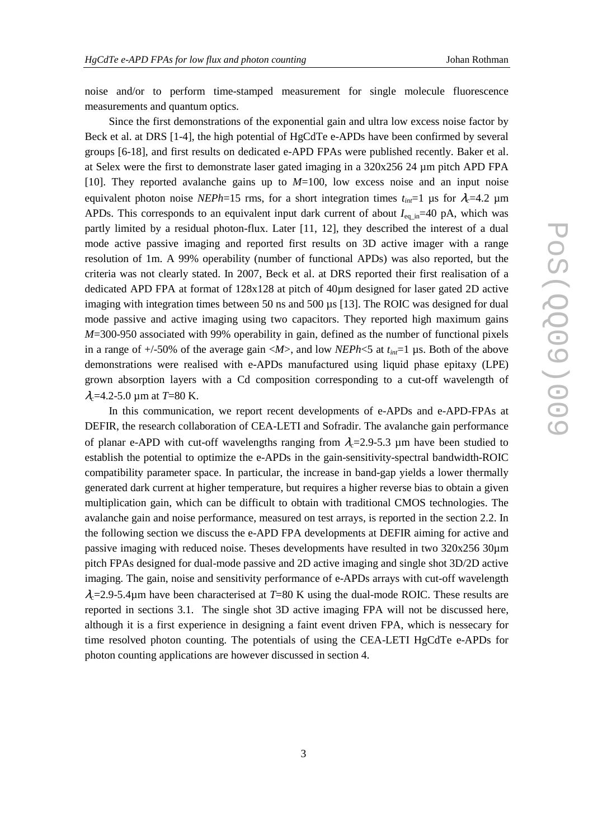noise and/or to perform time-stamped measurement for single molecule fluorescence measurements and quantum optics.

Since the first demonstrations of the exponential gain and ultra low excess noise factor by Beck et al. at DRS [1-4], the high potential of HgCdTe e-APDs have been confirmed by several groups [6-18], and first results on dedicated e-APD FPAs were published recently. Baker et al. at Selex were the first to demonstrate laser gated imaging in a 320x256 24 µm pitch APD FPA [10]. They reported avalanche gains up to *M*=100, low excess noise and an input noise equivalent photon noise *NEPh*=15 rms, for a short integration times  $t_{in}$ =1 µs for  $\lambda_c$ =4.2 µm APDs. This corresponds to an equivalent input dark current of about  $I_{eq,m}=40$  pA, which was partly limited by a residual photon-flux. Later [11, 12], they described the interest of a dual mode active passive imaging and reported first results on 3D active imager with a range resolution of 1m. A 99% operability (number of functional APDs) was also reported, but the criteria was not clearly stated. In 2007, Beck et al. at DRS reported their first realisation of a dedicated APD FPA at format of 128x128 at pitch of 40µm designed for laser gated 2D active imaging with integration times between 50 ns and 500 µs [13]. The ROIC was designed for dual mode passive and active imaging using two capacitors. They reported high maximum gains *M*=300-950 associated with 99% operability in gain, defined as the number of functional pixels in a range of  $+/-50\%$  of the average gain  $\langle M \rangle$ , and low *NEPh* $\langle 5 \rangle$  at  $t_{int}$  = 1 µs. Both of the above demonstrations were realised with e-APDs manufactured using liquid phase epitaxy (LPE) grown absorption layers with a Cd composition corresponding to a cut-off wavelength of  $\lambda_c$ =4.2-5.0 µm at *T*=80 K.

In this communication, we report recent developments of e-APDs and e-APD-FPAs at DEFIR, the research collaboration of CEA-LETI and Sofradir. The avalanche gain performance of planar e-APD with cut-off wavelengths ranging from  $\lambda_c$ =2.9-5.3 µm have been studied to establish the potential to optimize the e-APDs in the gain-sensitivity-spectral bandwidth-ROIC compatibility parameter space. In particular, the increase in band-gap yields a lower thermally generated dark current at higher temperature, but requires a higher reverse bias to obtain a given multiplication gain, which can be difficult to obtain with traditional CMOS technologies. The avalanche gain and noise performance, measured on test arrays, is reported in the section 2.2. In the following section we discuss the e-APD FPA developments at DEFIR aiming for active and passive imaging with reduced noise. Theses developments have resulted in two 320x256 30µm pitch FPAs designed for dual-mode passive and 2D active imaging and single shot 3D/2D active imaging. The gain, noise and sensitivity performance of e-APDs arrays with cut-off wavelength  $\lambda_c$ =2.9-5.4 $\mu$ m have been characterised at *T*=80 K using the dual-mode ROIC. These results are reported in sections 3.1. The single shot 3D active imaging FPA will not be discussed here, although it is a first experience in designing a faint event driven FPA, which is nessecary for time resolved photon counting. The potentials of using the CEA-LETI HgCdTe e-APDs for photon counting applications are however discussed in section 4.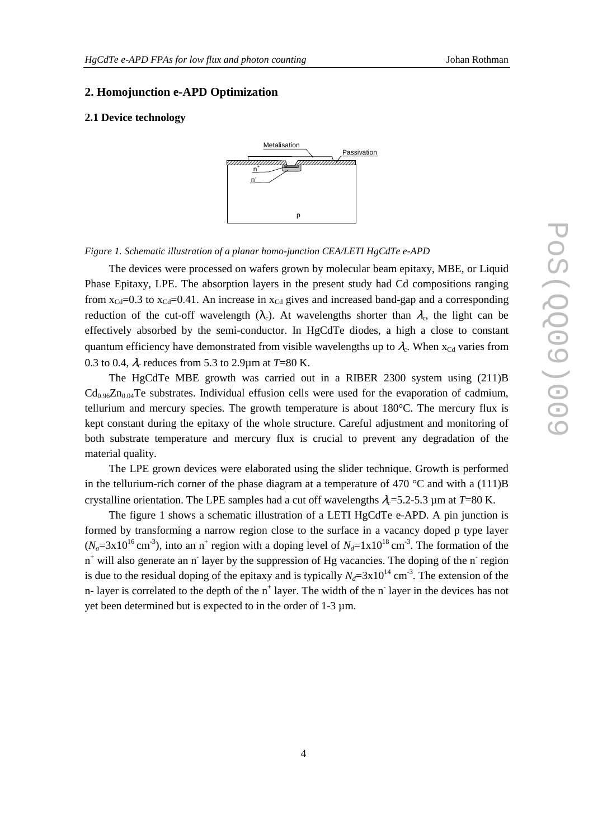#### **2. Homojunction e-APD Optimization**

#### **2.1 Device technology**



*Figure 1. Schematic illustration of a planar homo-junction CEA/LETI HgCdTe e-APD*

The devices were processed on wafers grown by molecular beam epitaxy, MBE, or Liquid Phase Epitaxy, LPE. The absorption layers in the present study had Cd compositions ranging from  $x_{Cd}$ =0.3 to  $x_{Cd}$ =0.41. An increase in  $x_{Cd}$  gives and increased band-gap and a corresponding reduction of the cut-off wavelength ( $\lambda_c$ ). At wavelengths shorter than  $\lambda_c$ , the light can be effectively absorbed by the semi-conductor. In HgCdTe diodes, a high a close to constant quantum efficiency have demonstrated from visible wavelengths up to  $\lambda_c$ . When  $x_{Cd}$  varies from 0.3 to 0.4,  $\lambda_c$  reduces from 5.3 to 2.9 $\mu$ m at *T*=80 K.

The HgCdTe MBE growth was carried out in a RIBER 2300 system using (211)B  $Cd_{0.96}Zn_{0.04}Te$  substrates. Individual effusion cells were used for the evaporation of cadmium, tellurium and mercury species. The growth temperature is about 180°C. The mercury flux is kept constant during the epitaxy of the whole structure. Careful adjustment and monitoring of both substrate temperature and mercury flux is crucial to prevent any degradation of the material quality.

The LPE grown devices were elaborated using the slider technique. Growth is performed in the tellurium-rich corner of the phase diagram at a temperature of 470  $^{\circ}$ C and with a (111)B crystalline orientation. The LPE samples had a cut off wavelengths  $\lambda = 5.2$ -5.3 µm at  $T=80$  K.

The figure 1 shows a schematic illustration of a LETI HgCdTe e-APD. A pin junction is formed by transforming a narrow region close to the surface in a vacancy doped p type layer  $(N_a=3x10^{16}$  cm<sup>-3</sup>), into an n<sup>+</sup> region with a doping level of  $N_d=1x10^{18}$  cm<sup>-3</sup>. The formation of the n<sup>+</sup> will also generate an n<sup>-</sup> layer by the suppression of Hg vacancies. The doping of the n<sup>-</sup> region is due to the residual doping of the epitaxy and is typically  $N_d = 3 \times 10^{14}$  cm<sup>-3</sup>. The extension of the n- layer is correlated to the depth of the  $n^+$  layer. The width of the  $n^-$  layer in the devices has not yet been determined but is expected to in the order of 1-3 µm.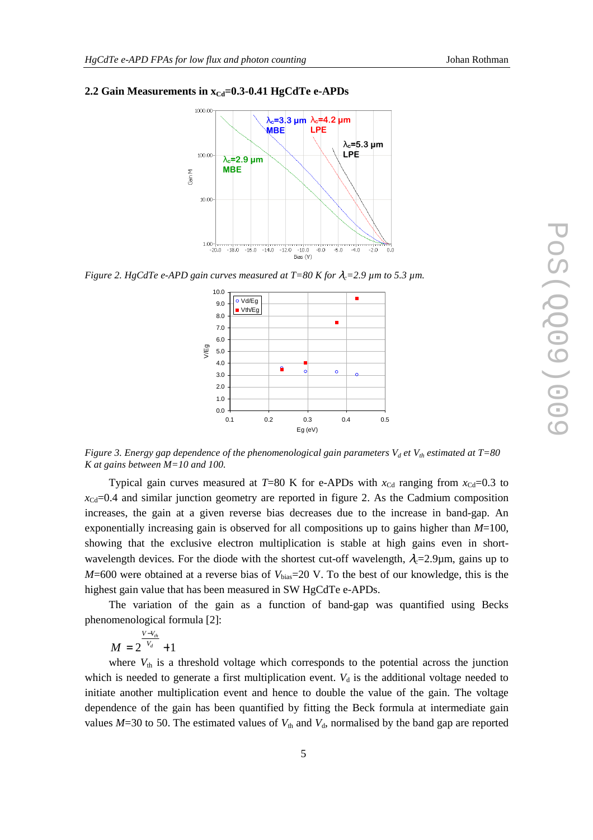#### 2.2 Gain Measurements in  $x<sub>Cd</sub>=0.3-0.41$  HgCdTe e-APDs



*Figure 2. HgCdTe e-APD gain curves measured at T=80 K for*  $\lambda_c$ *=2.9 µm to 5.3 µm.* 



*Figure 3. Energy gap dependence of the phenomenological gain parameters Vd et Vth estimated at T=80 K at gains between M=10 and 100.* 

Typical gain curves measured at  $T=80$  K for e-APDs with  $x_{\text{Cd}}$  ranging from  $x_{\text{Cd}}=0.3$  to  $x_{\text{Cd}} = 0.4$  and similar junction geometry are reported in figure 2. As the Cadmium composition increases, the gain at a given reverse bias decreases due to the increase in band-gap. An exponentially increasing gain is observed for all compositions up to gains higher than *M*=100, showing that the exclusive electron multiplication is stable at high gains even in shortwavelength devices. For the diode with the shortest cut-off wavelength,  $\lambda_c=2.9\mu$ m, gains up to  $M=600$  were obtained at a reverse bias of  $V_{bias}=20$  V. To the best of our knowledge, this is the highest gain value that has been measured in SW HgCdTe e-APDs.

The variation of the gain as a function of band-gap was quantified using Becks phenomenological formula [2]:

$$
M=2^{\frac{V-V_{th}}{V_d}}+1
$$

where  $V_{th}$  is a threshold voltage which corresponds to the potential across the junction which is needed to generate a first multiplication event.  $V_d$  is the additional voltage needed to initiate another multiplication event and hence to double the value of the gain. The voltage dependence of the gain has been quantified by fitting the Beck formula at intermediate gain values  $M=30$  to 50. The estimated values of  $V_{th}$  and  $V_{d}$ , normalised by the band gap are reported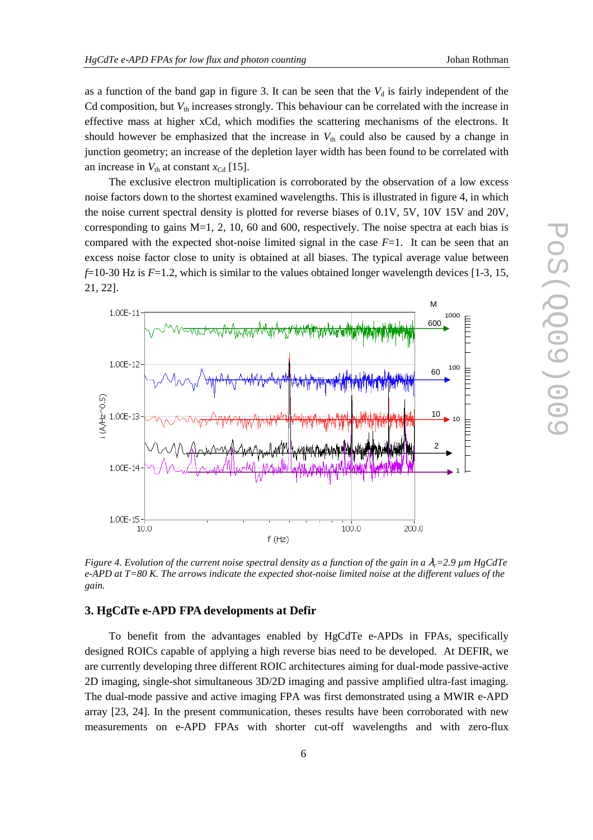as a function of the band gap in figure 3. It can be seen that the  $V_d$  is fairly independent of the Cd composition, but  $V_{th}$  increases strongly. This behaviour can be correlated with the increase in effective mass at higher xCd, which modifies the scattering mechanisms of the electrons. It should however be emphasized that the increase in  $V_{th}$  could also be caused by a change in junction geometry; an increase of the depletion layer width has been found to be correlated with an increase in  $V_{th}$  at constant  $x_{\text{Cd}}$  [15].

The exclusive electron multiplication is corroborated by the observation of a low excess noise factors down to the shortest examined wavelengths. This is illustrated in figure 4, in which the noise current spectral density is plotted for reverse biases of 0.1V, 5V, 10V 15V and 20V, corresponding to gains M=1, 2, 10, 60 and 600, respectively. The noise spectra at each bias is compared with the expected shot-noise limited signal in the case  $F=1$ . It can be seen that an excess noise factor close to unity is obtained at all biases. The typical average value between *f*=10-30 Hz is *F*=1.2, which is similar to the values obtained longer wavelength devices [1-3, 15, 21, 22].



*Figure 4. Evolution of the current noise spectral density as a function of the gain in a*  $\lambda = 2.9 \mu m HgCdTe$ *e-APD at T=80 K. The arrows indicate the expected shot-noise limited noise at the different values of the gain.* 

#### **3. HgCdTe e-APD FPA developments at Defir**

To benefit from the advantages enabled by HgCdTe e-APDs in FPAs, specifically designed ROICs capable of applying a high reverse bias need to be developed. At DEFIR, we are currently developing three different ROIC architectures aiming for dual-mode passive-active 2D imaging, single-shot simultaneous 3D/2D imaging and passive amplified ultra-fast imaging. The dual-mode passive and active imaging FPA was first demonstrated using a MWIR e-APD array [23, 24]. In the present communication, theses results have been corroborated with new measurements on e-APD FPAs with shorter cut-off wavelengths and with zero-flux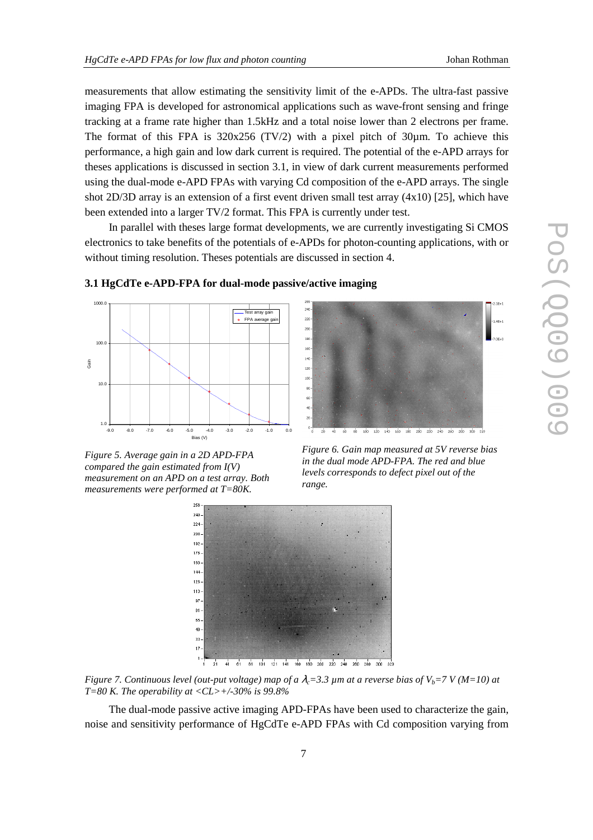measurements that allow estimating the sensitivity limit of the e-APDs. The ultra-fast passive imaging FPA is developed for astronomical applications such as wave-front sensing and fringe tracking at a frame rate higher than 1.5kHz and a total noise lower than 2 electrons per frame. The format of this FPA is  $320x256$  (TV/2) with a pixel pitch of  $30\mu$ m. To achieve this performance, a high gain and low dark current is required. The potential of the e-APD arrays for theses applications is discussed in section 3.1, in view of dark current measurements performed using the dual-mode e-APD FPAs with varying Cd composition of the e-APD arrays. The single shot 2D/3D array is an extension of a first event driven small test array (4x10) [25], which have been extended into a larger TV/2 format. This FPA is currently under test.

In parallel with theses large format developments, we are currently investigating Si CMOS electronics to take benefits of the potentials of e-APDs for photon-counting applications, with or without timing resolution. Theses potentials are discussed in section 4.



**3.1 HgCdTe e-APD-FPA for dual-mode passive/active imaging** 

Bias (V) *Figure 5. Average gain in a 2D APD-FPA compared the gain estimated from I(V) measurement on an APD on a test array. Both* 

*measurements were performed at T=80K.* 

 $240$  $^{22}$ 200 180 160  $140$  $120$  $\frac{1}{100}$ 80  $60$  $100\,$  $120$   $140$   $160$   $180$  $200$  $\frac{1}{220}$  $240$  $280$ 260

*Figure 6. Gain map measured at 5V reverse bias in the dual mode APD-FPA. The red and blue levels corresponds to defect pixel out of the range.* 



*Figure 7. Continuous level (out-put voltage) map of a*  $\lambda = 3.3$   $\mu$ m at a reverse bias of  $V_b = 7$  V (M=10) at *T=80 K. The operability at <CL>+/-30% is 99.8%* 

The dual-mode passive active imaging APD-FPAs have been used to characterize the gain, noise and sensitivity performance of HgCdTe e-APD FPAs with Cd composition varying from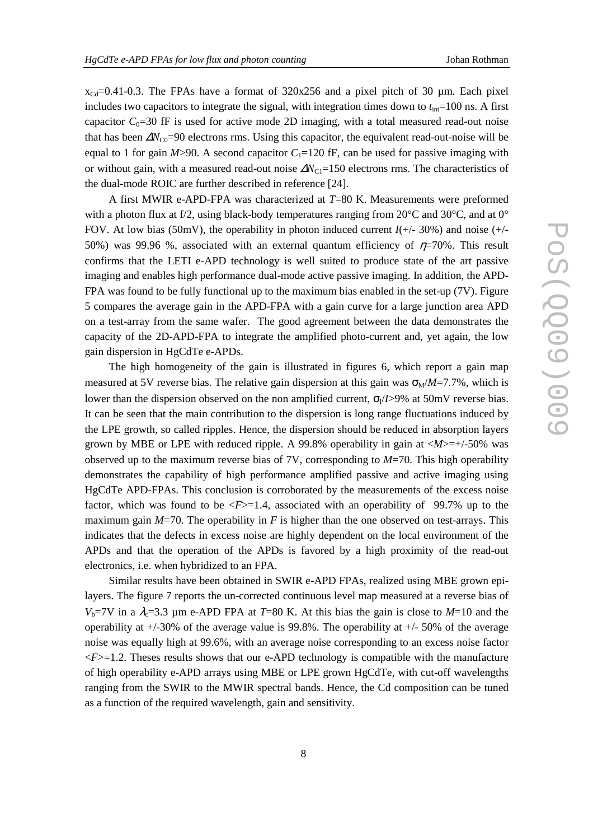$x_{\text{Cd}}$ =0.41-0.3. The FPAs have a format of 320x256 and a pixel pitch of 30 µm. Each pixel includes two capacitors to integrate the signal, with integration times down to  $t_{\text{int}}$  = 100 ns. A first capacitor  $C_0$ =30 fF is used for active mode 2D imaging, with a total measured read-out noise that has been  $\Delta N_{\text{CO}}$ =90 electrons rms. Using this capacitor, the equivalent read-out-noise will be equal to 1 for gain  $M > 90$ . A second capacitor  $C_1 = 120$  fF, can be used for passive imaging with or without gain, with a measured read-out noise  $\Delta N_{\text{Cl}}$ =150 electrons rms. The characteristics of the dual-mode ROIC are further described in reference [24].

A first MWIR e-APD-FPA was characterized at *T*=80 K. Measurements were preformed with a photon flux at f/2, using black-body temperatures ranging from  $20^{\circ}$ C and  $30^{\circ}$ C, and at  $0^{\circ}$ FOV. At low bias (50mV), the operability in photon induced current *I*(+/- 30%) and noise (+/- 50%) was 99.96 %, associated with an external quantum efficiency of  $\eta$ =70%. This result confirms that the LETI e-APD technology is well suited to produce state of the art passive imaging and enables high performance dual-mode active passive imaging. In addition, the APD-FPA was found to be fully functional up to the maximum bias enabled in the set-up (7V). Figure 5 compares the average gain in the APD-FPA with a gain curve for a large junction area APD on a test-array from the same wafer. The good agreement between the data demonstrates the capacity of the 2D-APD-FPA to integrate the amplified photo-current and, yet again, the low gain dispersion in HgCdTe e-APDs.

The high homogeneity of the gain is illustrated in figures 6, which report a gain map measured at 5V reverse bias. The relative gain dispersion at this gain was  $\sigma_M/M = 7.7\%$ , which is lower than the dispersion observed on the non amplified current,  $\sigma_l / I > 9\%$  at 50mV reverse bias. It can be seen that the main contribution to the dispersion is long range fluctuations induced by the LPE growth, so called ripples. Hence, the dispersion should be reduced in absorption layers grown by MBE or LPE with reduced ripple. A 99.8% operability in gain at <*M*>=+/-50% was observed up to the maximum reverse bias of 7V, corresponding to *M*=70. This high operability demonstrates the capability of high performance amplified passive and active imaging using HgCdTe APD-FPAs. This conclusion is corroborated by the measurements of the excess noise factor, which was found to be  $\langle F \rangle = 1.4$ , associated with an operability of 99.7% up to the maximum gain  $M=70$ . The operability in *F* is higher than the one observed on test-arrays. This indicates that the defects in excess noise are highly dependent on the local environment of the APDs and that the operation of the APDs is favored by a high proximity of the read-out electronics, i.e. when hybridized to an FPA.

Similar results have been obtained in SWIR e-APD FPAs, realized using MBE grown epilayers. The figure 7 reports the un-corrected continuous level map measured at a reverse bias of  $V_b$ =7V in a  $\lambda_c$ =3.3 µm e-APD FPA at *T*=80 K. At this bias the gain is close to *M*=10 and the operability at  $+/-30\%$  of the average value is 99.8%. The operability at  $+/-50\%$  of the average noise was equally high at 99.6%, with an average noise corresponding to an excess noise factor  $\leq F$  =1.2. Theses results shows that our e-APD technology is compatible with the manufacture of high operability e-APD arrays using MBE or LPE grown HgCdTe, with cut-off wavelengths ranging from the SWIR to the MWIR spectral bands. Hence, the Cd composition can be tuned as a function of the required wavelength, gain and sensitivity.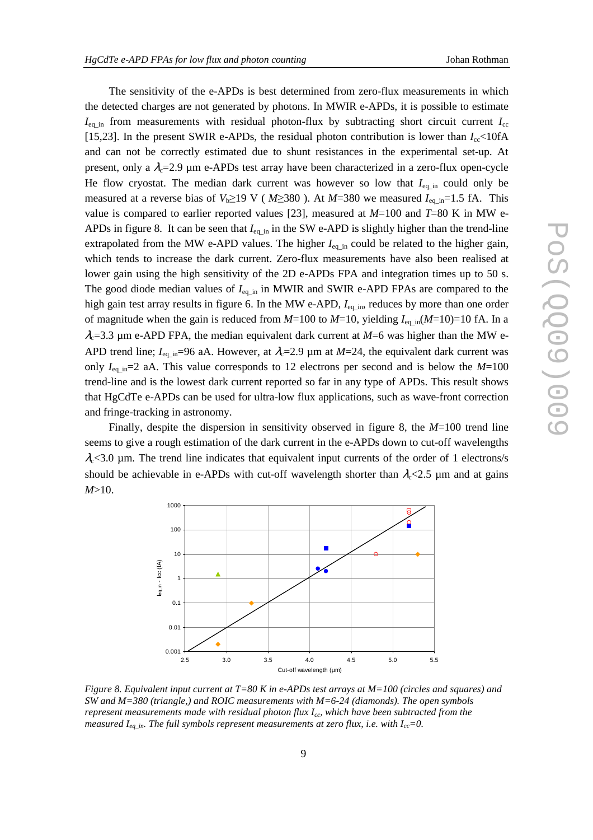The sensitivity of the e-APDs is best determined from zero-flux measurements in which the detected charges are not generated by photons. In MWIR e-APDs, it is possible to estimate  $I_{\text{eq}}$  in from measurements with residual photon-flux by subtracting short circuit current  $I_{\text{cc}}$ [15,23]. In the present SWIR e-APDs, the residual photon contribution is lower than  $I_{cc}$ <10fA and can not be correctly estimated due to shunt resistances in the experimental set-up. At present, only a  $\lambda_c$ =2.9 µm e-APDs test array have been characterized in a zero-flux open-cycle He flow cryostat. The median dark current was however so low that  $I_{eq\_in}$  could only be measured at a reverse bias of  $V_b \ge 19$  V ( $M \ge 380$ ). At  $M = 380$  we measured  $I_{eq\_in} = 1.5$  fA. This value is compared to earlier reported values [23], measured at  $M=100$  and  $T=80$  K in MW e-APDs in figure 8. It can be seen that  $I_{eq}$  in the SW e-APD is slightly higher than the trend-line extrapolated from the MW e-APD values. The higher *I*<sub>eq\_in</sub> could be related to the higher gain, which tends to increase the dark current. Zero-flux measurements have also been realised at lower gain using the high sensitivity of the 2D e-APDs FPA and integration times up to 50 s. The good diode median values of  $I_{eq,in}$  in MWIR and SWIR e-APD FPAs are compared to the high gain test array results in figure 6. In the MW e-APD,  $I_{eq\_in}$ , reduces by more than one order of magnitude when the gain is reduced from *M*=100 to *M*=10, yielding *I*eq\_in(*M*=10)=10 fA. In a  $\lambda_c$ =3.3 µm e-APD FPA, the median equivalent dark current at  $M=6$  was higher than the MW e-APD trend line;  $I_{eq\ in}$ =96 aA. However, at  $\lambda_c$ =2.9 µm at *M*=24, the equivalent dark current was only  $I_{eq \text{in}}=2$  aA. This value corresponds to 12 electrons per second and is below the *M*=100 trend-line and is the lowest dark current reported so far in any type of APDs. This result shows that HgCdTe e-APDs can be used for ultra-low flux applications, such as wave-front correction and fringe-tracking in astronomy.

Finally, despite the dispersion in sensitivity observed in figure 8*,* the *M*=100 trend line seems to give a rough estimation of the dark current in the e-APDs down to cut-off wavelengths  $\lambda_c$ <3.0 µm. The trend line indicates that equivalent input currents of the order of 1 electrons/s should be achievable in e-APDs with cut-off wavelength shorter than  $\lambda_c$ <2.5 µm and at gains *M*>10.



*Figure 8. Equivalent input current at T=80 K in e-APDs test arrays at M=100 (circles and squares) and SW and M=380 (triangle,) and ROIC measurements with M=6-24 (diamonds). The open symbols represent measurements made with residual photon flux Icc, which have been subtracted from the measured I<sub>eq in</sub>. The full symbols represent measurements at zero flux, i.e. with I<sub>cc</sub>=0.*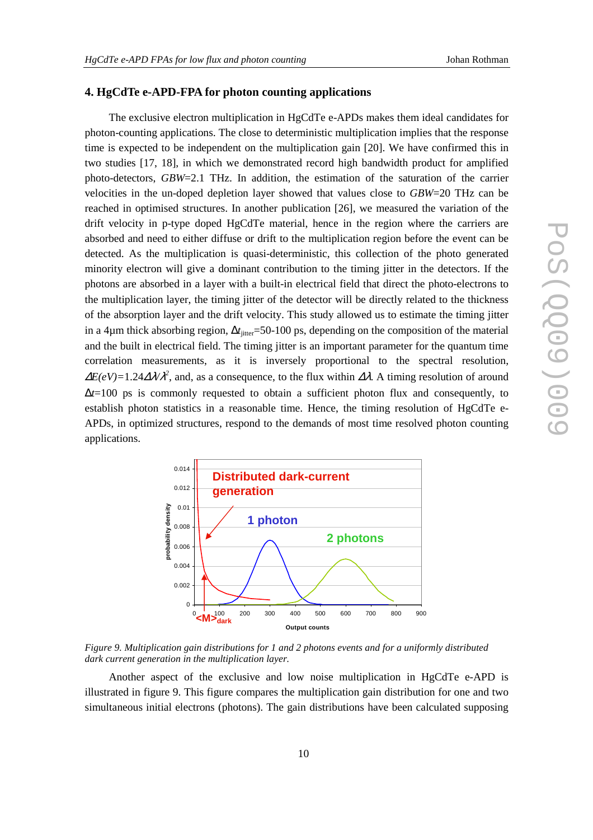#### **4. HgCdTe e-APD-FPA for photon counting applications**

The exclusive electron multiplication in HgCdTe e-APDs makes them ideal candidates for photon-counting applications. The close to deterministic multiplication implies that the response time is expected to be independent on the multiplication gain [20]. We have confirmed this in two studies [17, 18], in which we demonstrated record high bandwidth product for amplified photo-detectors, *GBW*=2.1 THz. In addition, the estimation of the saturation of the carrier velocities in the un-doped depletion layer showed that values close to *GBW*=20 THz can be reached in optimised structures. In another publication [26], we measured the variation of the drift velocity in p-type doped HgCdTe material, hence in the region where the carriers are absorbed and need to either diffuse or drift to the multiplication region before the event can be detected. As the multiplication is quasi-deterministic, this collection of the photo generated minority electron will give a dominant contribution to the timing jitter in the detectors. If the photons are absorbed in a layer with a built-in electrical field that direct the photo-electrons to the multiplication layer, the timing jitter of the detector will be directly related to the thickness of the absorption layer and the drift velocity. This study allowed us to estimate the timing jitter in a 4μm thick absorbing region,  $\Delta t$ <sub>iitter</sub>=50-100 ps, depending on the composition of the material and the built in electrical field. The timing jitter is an important parameter for the quantum time correlation measurements, as it is inversely proportional to the spectral resolution,  $\Delta E(eV)$ =1.24 $\Delta \lambda \lambda^2$ , and, as a consequence, to the flux within  $\Delta \lambda$ . A timing resolution of around ∆*t*=100 ps is commonly requested to obtain a sufficient photon flux and consequently, to establish photon statistics in a reasonable time. Hence, the timing resolution of HgCdTe e-APDs, in optimized structures, respond to the demands of most time resolved photon counting applications.



*Figure 9. Multiplication gain distributions for 1 and 2 photons events and for a uniformly distributed dark current generation in the multiplication layer.* 

Another aspect of the exclusive and low noise multiplication in HgCdTe e-APD is illustrated in figure 9. This figure compares the multiplication gain distribution for one and two simultaneous initial electrons (photons). The gain distributions have been calculated supposing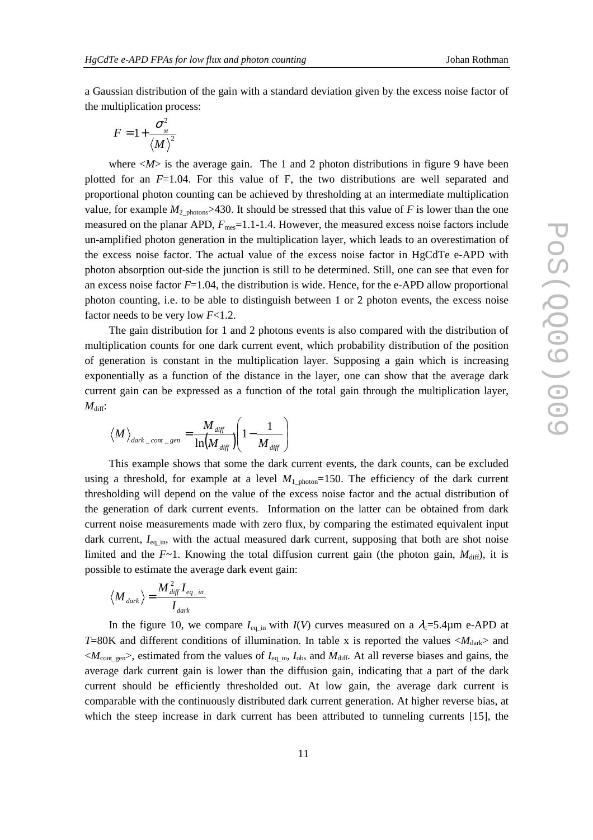a Gaussian distribution of the gain with a standard deviation given by the excess noise factor of the multiplication process:

$$
F=1+\frac{\sigma_{_M}^2}{\langle M \rangle^2}
$$

where  $\langle M \rangle$  is the average gain. The 1 and 2 photon distributions in figure 9 have been plotted for an *F*=1.04. For this value of F, the two distributions are well separated and proportional photon counting can be achieved by thresholding at an intermediate multiplication value, for example  $M_{2_{\text{photons}}} > 430$ . It should be stressed that this value of *F* is lower than the one measured on the planar APD,  $F_{\text{mes}}=1.1$ -1.4. However, the measured excess noise factors include un-amplified photon generation in the multiplication layer, which leads to an overestimation of the excess noise factor. The actual value of the excess noise factor in HgCdTe e-APD with photon absorption out-side the junction is still to be determined. Still, one can see that even for an excess noise factor  $F=1.04$ , the distribution is wide. Hence, for the e-APD allow proportional photon counting, i.e. to be able to distinguish between 1 or 2 photon events, the excess noise factor needs to be very low *F*<1.2.

The gain distribution for 1 and 2 photons events is also compared with the distribution of multiplication counts for one dark current event, which probability distribution of the position of generation is constant in the multiplication layer. Supposing a gain which is increasing exponentially as a function of the distance in the layer, one can show that the average dark current gain can be expressed as a function of the total gain through the multiplication layer,  $M_{\text{diff}}$ :

$$
\big_{dark\_cont\_gen}=\frac{M_{\it diff}}{\ln\bigl(M_{\it diff}\bigr)}\Biggl(1-\frac{1}{M_{\it diff}}\Biggr)
$$

This example shows that some the dark current events, the dark counts, can be excluded using a threshold, for example at a level  $M_1$ <sub>photon</sub>=150. The efficiency of the dark current thresholding will depend on the value of the excess noise factor and the actual distribution of the generation of dark current events. Information on the latter can be obtained from dark current noise measurements made with zero flux, by comparing the estimated equivalent input dark current,  $I_{eq}$ <sub>in</sub>, with the actual measured dark current, supposing that both are shot noise limited and the  $F \sim 1$ . Knowing the total diffusion current gain (the photon gain,  $M_{\text{diff}}$ ), it is possible to estimate the average dark event gain:

$$
\langle Mvert_{dark} \rangle = \frac{M_{\text{diff}}^2 I_{\text{eq}\_{in}}}{I_{\text{dark}}}
$$

In the figure 10, we compare  $I_{eq,in}$  with  $I(V)$  curves measured on a  $\lambda_c=5.4\mu$ m e-APD at *T*=80K and different conditions of illumination. In table x is reported the values  $\langle M_{\text{dark}} \rangle$  and  $\langle M_{\text{cont\_gen}} \rangle$ , estimated from the values of  $I_{\text{eq\_in}}$ ,  $I_{\text{obs}}$  and  $M_{\text{diff}}$ . At all reverse biases and gains, the average dark current gain is lower than the diffusion gain, indicating that a part of the dark current should be efficiently thresholded out. At low gain, the average dark current is comparable with the continuously distributed dark current generation. At higher reverse bias, at which the steep increase in dark current has been attributed to tunneling currents [15], the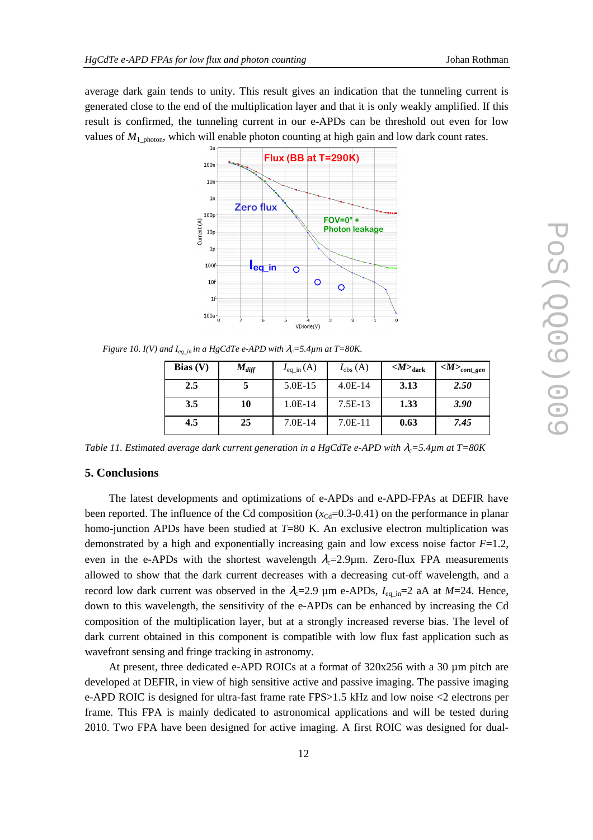average dark gain tends to unity. This result gives an indication that the tunneling current is generated close to the end of the multiplication layer and that it is only weakly amplified. If this result is confirmed, the tunneling current in our e-APDs can be threshold out even for low values of  $M_1$  photon, which will enable photon counting at high gain and low dark count rates.



*Figure 10. I(V) and*  $I_{eq\ in}$  *in a HgCdTe e-APD with*  $\lambda_c = 5.4 \mu m$  *at T=80K.* 

| Bias $(V)$ | $M_{diff}$ | $I_{\text{eq}\_{\text{in}}}(\text{A})$ | $I_{\text{obs}}(\text{A})$ | $<\!\!M\!\!>_{\rm dark}$ | $\langle M \rangle_{cont\_gen}$ |
|------------|------------|----------------------------------------|----------------------------|--------------------------|---------------------------------|
| 2.5        | J          | 5.0E-15                                | $4.0E-14$                  | 3.13                     | 2.50                            |
| 3.5        | 10         | $1.0E-14$                              | $7.5E-13$                  | 1.33                     | 3.90                            |
| 4.5        | 25         | $7.0E-14$                              | $7.0E-11$                  | 0.63                     | 7.45                            |

*Table 11. Estimated average dark current generation in a HgCdTe e-APD with*  $\lambda_c = 5.4 \mu m$  *at T=80K* 

#### **5. Conclusions**

The latest developments and optimizations of e-APDs and e-APD-FPAs at DEFIR have been reported. The influence of the Cd composition  $(x_{\text{Cd}}=0.3-0.41)$  on the performance in planar homo-junction APDs have been studied at *T*=80 K. An exclusive electron multiplication was demonstrated by a high and exponentially increasing gain and low excess noise factor *F*=1.2, even in the e-APDs with the shortest wavelength  $\lambda_c$ =2.9µm. Zero-flux FPA measurements allowed to show that the dark current decreases with a decreasing cut-off wavelength, and a record low dark current was observed in the  $\lambda_c$ =2.9 µm e-APDs,  $I_{eq}$ <sub>in</sub>=2 aA at *M*=24. Hence, down to this wavelength, the sensitivity of the e-APDs can be enhanced by increasing the Cd composition of the multiplication layer, but at a strongly increased reverse bias. The level of dark current obtained in this component is compatible with low flux fast application such as wavefront sensing and fringe tracking in astronomy.

At present, three dedicated e-APD ROICs at a format of 320x256 with a 30 µm pitch are developed at DEFIR, in view of high sensitive active and passive imaging. The passive imaging e-APD ROIC is designed for ultra-fast frame rate FPS>1.5 kHz and low noise <2 electrons per frame. This FPA is mainly dedicated to astronomical applications and will be tested during 2010. Two FPA have been designed for active imaging. A first ROIC was designed for dual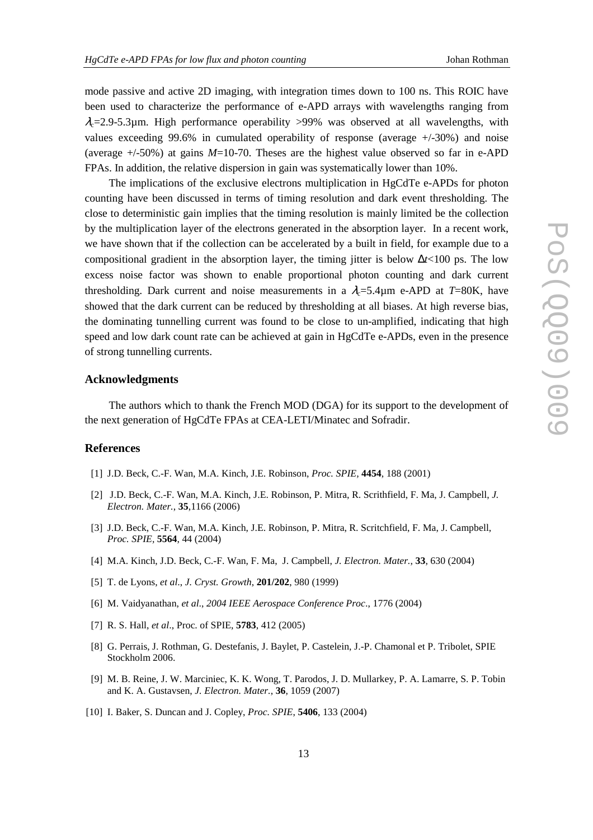mode passive and active 2D imaging, with integration times down to 100 ns. This ROIC have been used to characterize the performance of e-APD arrays with wavelengths ranging from  $\lambda_c$ =2.9-5.3µm. High performance operability >99% was observed at all wavelengths, with values exceeding 99.6% in cumulated operability of response (average +/-30%) and noise (average  $+/-50\%$ ) at gains  $M=10-70$ . Theses are the highest value observed so far in e-APD FPAs. In addition, the relative dispersion in gain was systematically lower than 10%.

The implications of the exclusive electrons multiplication in HgCdTe e-APDs for photon counting have been discussed in terms of timing resolution and dark event thresholding. The close to deterministic gain implies that the timing resolution is mainly limited be the collection by the multiplication layer of the electrons generated in the absorption layer. In a recent work, we have shown that if the collection can be accelerated by a built in field, for example due to a compositional gradient in the absorption layer, the timing jitter is below ∆*t*<100 ps. The low excess noise factor was shown to enable proportional photon counting and dark current thresholding. Dark current and noise measurements in a  $\lambda = 5.4\mu$ m e-APD at *T*=80K, have showed that the dark current can be reduced by thresholding at all biases. At high reverse bias, the dominating tunnelling current was found to be close to un-amplified, indicating that high speed and low dark count rate can be achieved at gain in HgCdTe e-APDs, even in the presence of strong tunnelling currents.

#### **Acknowledgments**

The authors which to thank the French MOD (DGA) for its support to the development of the next generation of HgCdTe FPAs at CEA-LETI/Minatec and Sofradir.

#### **References**

- [1] J.D. Beck, C.-F. Wan, M.A. Kinch, J.E. Robinson, *Proc. SPIE,* **4454**, 188 (2001)
- [2] J.D. Beck, C.-F. Wan, M.A. Kinch, J.E. Robinson, P. Mitra, R. Scrithfield, F. Ma, J. Campbell, *J. Electron. Mater.*, **35**,1166 (2006)
- [3] J.D. Beck, C.-F. Wan, M.A. Kinch, J.E. Robinson, P. Mitra, R. Scritchfield, F. Ma, J. Campbell, *Proc. SPIE,* **5564**, 44 (2004)
- [4] M.A. Kinch, J.D. Beck, C.-F. Wan, F. Ma, J. Campbell, *J. Electron. Mater.*, **33**, 630 (2004)
- [5] T. de Lyons, *et al*., *J. Cryst. Growth*, **201/202**, 980 (1999)
- [6] M. Vaidyanathan, *et al*., *2004 IEEE Aerospace Conference Proc*., 1776 (2004)
- [7] R. S. Hall, *et al*., Proc. of SPIE, **5783**, 412 (2005)
- [8] G. Perrais, J. Rothman, G. Destefanis, J. Baylet, P. Castelein, J.-P. Chamonal et P. Tribolet, SPIE Stockholm 2006.
- [9] M. B. Reine, J. W. Marciniec, K. K. Wong, T. Parodos, J. D. Mullarkey, P. A. Lamarre, S. P. Tobin and K. A. Gustavsen, *J. Electron. Mater.*, **36**, 1059 (2007)
- [10] I. Baker, S. Duncan and J. Copley, *Proc. SPIE*, **5406**, 133 (2004)